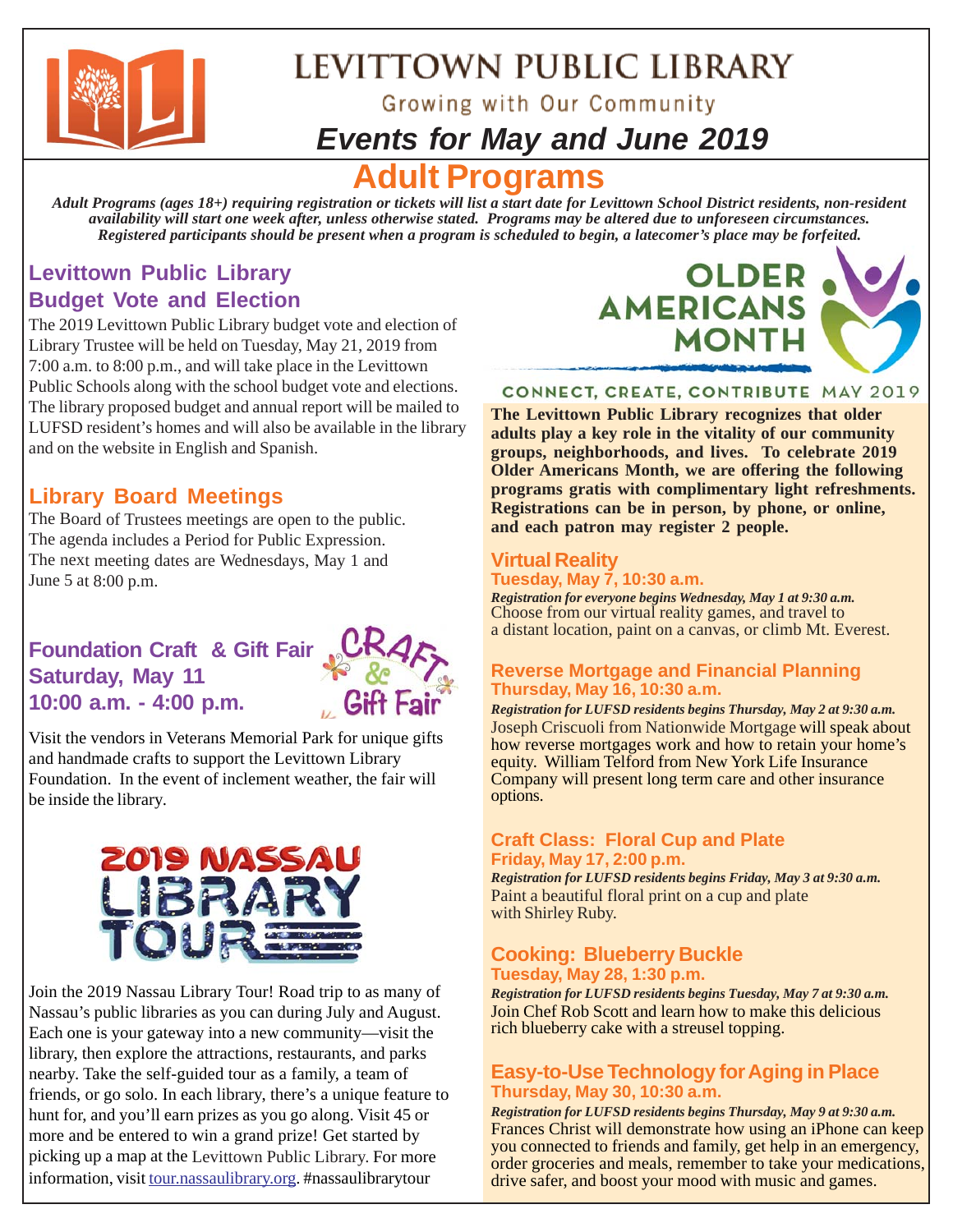

# LEVITTOWN PUBLIC LIBRARY Growing with Our Community

# *Events for May and June 2019*

# **Adults**

*Adult Programs (ages 18+) requiring registration or tickets will list a start date for Levittown School District residents, non-resident availability will start one week after, unless otherwise stated. Programs may be altered due to unforeseen circumstances. Registered participants should be present when a program is scheduled to begin, a latecomer's place may be forfeited.*

# **Levittown Public Library Budget Vote and Election**

The 2019 Levittown Public Library budget vote and election of Library Trustee will be held on Tuesday, May 21, 2019 from 7:00 a.m. to 8:00 p.m., and will take place in the Levittown Public Schools along with the school budget vote and elections. The library proposed budget and annual report will be mailed to LUFSD resident's homes and will also be available in the library and on the website in English and Spanish.

# **Library Board Meetings**

The Board of Trustees meetings are open to the public. The agenda includes a Period for Public Expression. The next meeting dates are Wednesdays, May 1 and June 5 at 8:00 p.m.

# **Foundation Craft & Gift Fair Saturday, May 11 10:00 a.m. - 4:00 p.m.**



Visit the vendors in Veterans Memorial Park for unique gifts and handmade crafts to support the Levittown Library Foundation. In the event of inclement weather, the fair will be inside the library.



Join the 2019 Nassau Library Tour! Road trip to as many of Nassau's public libraries as you can during July and August. Each one is your gateway into a new community—visit the library, then explore the attractions, restaurants, and parks nearby. Take the self-guided tour as a family, a team of friends, or go solo. In each library, there's a unique feature to hunt for, and you'll earn prizes as you go along. Visit 45 or more and be entered to win a grand prize! Get started by picking up a map at the Levittown Public Library. For more information, visit tour.nassaulibrary.org. #nassaulibrarytour



#### CONNECT, CREATE, CONTRIBUTE MAY 2019

**The Levittown Public Library recognizes that older adults play a key role in the vitality of our community groups, neighborhoods, and lives. To celebrate 2019 Older Americans Month, we are offering the following programs gratis with complimentary light refreshments. Registrations can be in person, by phone, or online, and each patron may register 2 people.**

### **Virtual Reality Tuesday, May 7, 10:30 a.m.**

Choose from our virtual reality games, and travel to a distant location, paint on a canvas, or climb Mt. Everest. *Registration for everyone begins Wednesday, May 1 at 9:30 a.m.*

### **Reverse Mortgage and Financial Planning Thursday, May 16, 10:30 a.m.**

*Registration for LUFSD residents begins Thursday, May 2 at 9:30 a.m.* Joseph Criscuoli from Nationwide Mortgage will speak about how reverse mortgages work and how to retain your home's equity. William Telford from New York Life Insurance Company will present long term care and other insurance options.

### **Craft Class: Floral Cup and Plate Friday, May 17, 2:00 p.m.**

Paint a beautiful floral print on a cup and plate with Shirley Ruby. *Registration for LUFSD residents begins Friday, May 3 at 9:30 a.m.*

### **Cooking: Blueberry Buckle Tuesday, May 28, 1:30 p.m.**

Join Chef Rob Scott and learn how to make this delicious rich blueberry cake with a streusel topping. *Registration for LUFSD residents begins Tuesday, May 7 at 9:30 a.m.*

### **Easy-to-Use Technology for Aging in Place Thursday, May 30, 10:30 a.m.**

Frances Christ will demonstrate how using an iPhone can keep you connected to friends and family, get help in an emergency, order groceries and meals, remember to take your medications, drive safer, and boost your mood with music and games. *Registration for LUFSD residents begins Thursday, May 9 at 9:30 a.m.*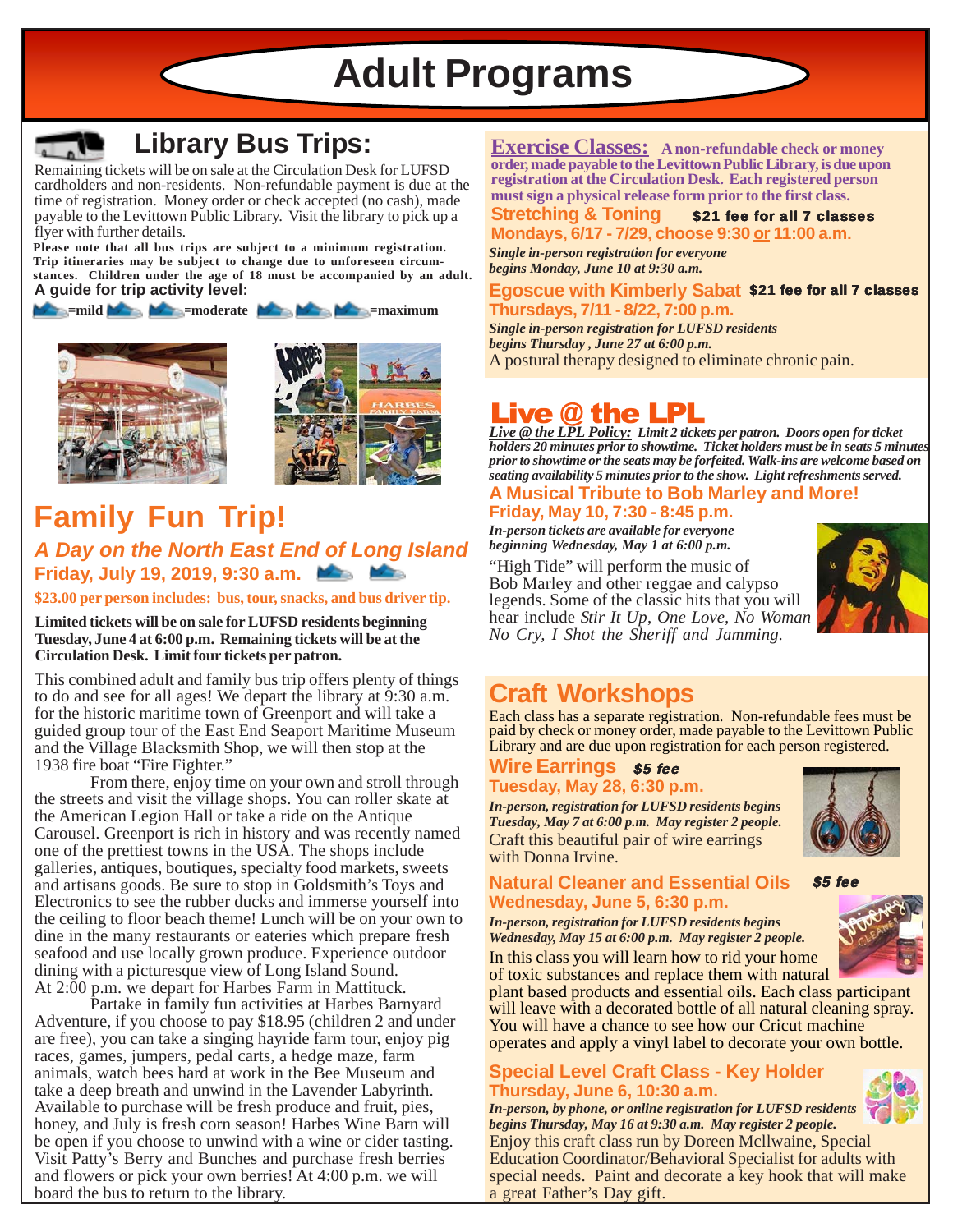# **Adult Programs**



# **Library Bus Trips:**

Remaining tickets will be on sale at the Circulation Desk for LUFSD cardholders and non-residents. Non-refundable payment is due at the time of registration. Money order or check accepted (no cash), made payable to the Levittown Public Library. Visit the library to pick up a flyer with further details.

**Please note that all bus trips are subject to a minimum registration. Trip itineraries may be subject to change due to unforeseen circumstances. Children under the age of 18 must be accompanied by an adult. A guide for trip activity level:**

**Example 2008** = moderate **Maximum** = maximum





# **Family Fun Trip!** *A Day on the North East End of Long Island* **Friday, July 19, 2019, 9:30 a.m.**

**\$23.00 per person includes: bus, tour, snacks, and bus driver tip.**

**Limited tickets will be on sale for LUFSD residents beginning Tuesday, June 4 at 6:00 p.m. Remaining tickets will be at the Circulation Desk. Limit four tickets per patron.**

This combined adult and family bus trip offers plenty of things to do and see for all ages! We depart the library at 9:30 a.m. for the historic maritime town of Greenport and will take a guided group tour of the East End Seaport Maritime Museum and the Village Blacksmith Shop, we will then stop at the 1938 fire boat "Fire Fighter."

From there, enjoy time on your own and stroll through the streets and visit the village shops. You can roller skate at the American Legion Hall or take a ride on the Antique Carousel. Greenport is rich in history and was recently named one of the prettiest towns in the USA. The shops include galleries, antiques, boutiques, specialty food markets, sweets and artisans goods. Be sure to stop in Goldsmith's Toys and Electronics to see the rubber ducks and immerse yourself into the ceiling to floor beach theme! Lunch will be on your own to dine in the many restaurants or eateries which prepare fresh seafood and use locally grown produce. Experience outdoor dining with a picturesque view of Long Island Sound. At 2:00 p.m. we depart for Harbes Farm in Mattituck.

Partake in family fun activities at Harbes Barnyard Adventure, if you choose to pay \$18.95 (children 2 and under are free), you can take a singing hayride farm tour, enjoy pig races, games, jumpers, pedal carts, a hedge maze, farm animals, watch bees hard at work in the Bee Museum and take a deep breath and unwind in the Lavender Labyrinth. Available to purchase will be fresh produce and fruit, pies, honey, and July is fresh corn season! Harbes Wine Barn will be open if you choose to unwind with a wine or cider tasting. Visit Patty's Berry and Bunches and purchase fresh berries and flowers or pick your own berries! At 4:00 p.m. we will board the bus to return to the library.

**Exercise Classes: A non-refundable check or money order, made payable to the Levittown Public Library, is due upon registration at the Circulation Desk. Each registered person must sign a physical release form prior to the first class.**

**Stretching & Toning Mondays, 6/17 - 7/29, choose 9:30 or 11:00 a.m.** \$21 fee for all 7 classes

*Single in-person registration for everyone begins Monday, June 10 at 9:30 a.m.*

Egoscue with Kimberly Sabat \$21 fee for all 7 classes **Thursdays, 7/11 - 8/22, 7:00 p.m.**

*Single in-person registration for LUFSD residents begins Thursday , June 27 at 6:00 p.m.* A postural therapy designed to eliminate chronic pain.

# **Live @ the LPL**

*Live @ the LPL Policy: Limit 2 tickets per patron. Doors open for ticket holders 20 minutes prior to showtime. Ticket holders must be in seats 5 minutes prior to showtime or the seats may be forfeited. Walk-ins are welcome based on seating availability 5 minutes prior to the show. Light refreshments served.*

#### **A Musical Tribute to Bob Marley and More! Friday, May 10, 7:30 - 8:45 p.m.**

*In-person tickets are available for everyone beginning Wednesday, May 1 at 6:00 p.m.*

"High Tide" will perform the music of Bob Marley and other reggae and calypso legends. Some of the classic hits that you will hear include *Stir It Up*, *One Love, No Woman No Cry, I Shot the Sheriff and Jamming.*



# **Craft Workshops**

Each class has a separate registration. Non-refundable fees must be paid by check or money order, made payable to the Levittown Public Library and are due upon registration for each person registered.

#### Wire Earrings **\$5 fee Tuesday, May 28, 6:30 p.m.**

Craft this beautiful pair of wire earrings with Donna Irvine. *In-person, registration for LUFSD residents begins Tuesday, May 7 at 6:00 p.m. May register 2 people.*



#### **Natural Cleaner and Essential Oils Wednesday, June 5, 6:30 p.m.**

*In-person, registration for LUFSD residents begins Wednesday, May 15 at 6:00 p.m. May register 2 people.*

In this class you will learn how to rid your home of toxic substances and replace them with natural plant based products and essential oils. Each class participant will leave with a decorated bottle of all natural cleaning spray. You will have a chance to see how our Cricut machine

operates and apply a vinyl label to decorate your own bottle.

### **Special Level Craft Class - Key Holder Thursday, June 6, 10:30 a.m.**

*In-person, by phone, or online registration for LUFSD residents begins Thursday, May 16 at 9:30 a.m. May register 2 people.*

Enjoy this craft class run by Doreen Mcllwaine, Special Education Coordinator/Behavioral Specialist for adults with special needs. Paint and decorate a key hook that will make a great Father's Day gift.

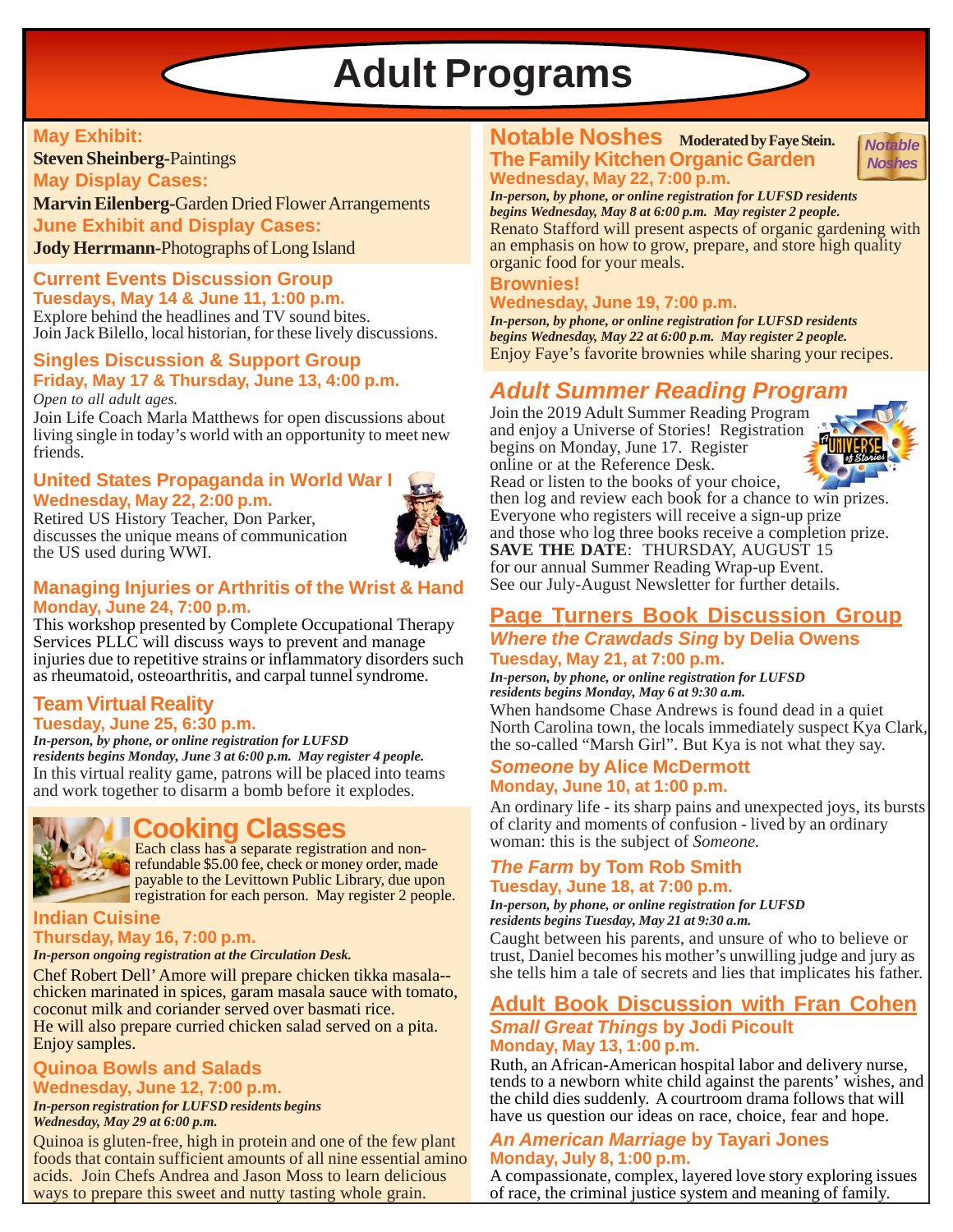

### **May Exhibit:**

**Steven Sheinberg-**Paintings **May Display Cases:**

**Marvin Eilenberg-**Garden Dried Flower Arrangements **June Exhibit and Display Cases: Jody Herrmann-**Photographs of Long Island

#### **Current Events Discussion Group Tuesdays, May 14 & June 11, 1:00 p.m.**

Explore behind the headlines and TV sound bites. Join Jack Bilello, local historian, for these lively discussions.

### **Singles Discussion & Support Group Friday, May 17 & Thursday, June 13, 4:00 p.m.**

*Open to all adult ages.*

Join Life Coach Marla Matthews for open discussions about living single in today's world with an opportunity to meet new friends.

### **United States Propaganda in World War I Wednesday, May 22, 2:00 p.m.**

Retired US History Teacher, Don Parker, discusses the unique means of communication the US used during WWI.



### **Managing Injuries or Arthritis of the Wrist & Hand Monday, June 24, 7:00 p.m.**

This workshop presented by Complete Occupational Therapy Services PLLC will discuss ways to prevent and manage injuries due to repetitive strains or inflammatory disorders such as rheumatoid, osteoarthritis, and carpal tunnel syndrome.

#### **Team Virtual Reality Tuesday, June 25, 6:30 p.m.**

*In-person, by phone, or online registration for LUFSD residents begins Monday, June 3 at 6:00 p.m. May register 4 people.* In this virtual reality game, patrons will be placed into teams and work together to disarm a bomb before it explodes.



# **Cooking Classes**

Each class has a separate registration and nonrefundable \$5.00 fee, check or money order, made payable to the Levittown Public Library, due upon registration for each person. May register 2 people.

#### **Indian Cuisine Thursday, May 16, 7:00 p.m.**

*In-person ongoing registration at the Circulation Desk.*

Chef Robert Dell' Amore will prepare chicken tikka masala- chicken marinated in spices, garam masala sauce with tomato, coconut milk and coriander served over basmati rice. He will also prepare curried chicken salad served on a pita. Enjoy samples.

#### **Quinoa Bowls and Salads Wednesday, June 12, 7:00 p.m.**

*In-person registration for LUFSD residents begins Wednesday, May 29 at 6:00 p.m.*

Quinoa is gluten-free, high in protein and one of the few plant foods that contain sufficient amounts of all nine essential amino acids. Join Chefs Andrea and Jason Moss to learn delicious ways to prepare this sweet and nutty tasting whole grain.

### **Notable Noshes Moderated by Faye Stein. The Family Kitchen Organic Garden Wednesday, May 22, 7:00 p.m.**

*Notable Noshes*

Renato Stafford will present aspects of organic gardening with an emphasis on how to grow, prepare, and store high quality organic food for your meals. *In-person, by phone, or online registration for LUFSD residents begins Wednesday, May 8 at 6:00 p.m. May register 2 people.*

### **Brownies!**

**Wednesday, June 19, 7:00 p.m.**

Enjoy Faye's favorite brownies while sharing your recipes. *In-person, by phone, or online registration for LUFSD residents begins Wednesday, May 22 at 6:00 p.m. May register 2 people.*

# *Adult Summer Reading Program*

Join the 2019 Adult Summer Reading Program and enjoy a Universe of Stories! Registration begins on Monday, June 17. Register online or at the Reference Desk. Read or listen to the books of your choice,



then log and review each book for a chance to win prizes. Everyone who registers will receive a sign-up prize and those who log three books receive a completion prize. **SAVE THE DATE**: THURSDAY, AUGUST 15 for our annual Summer Reading Wrap-up Event. See our July-August Newsletter for further details.

### **Page Turners Book Discussion Group** *Where the Crawdads Sing* **by Delia Owens Tuesday, May 21, at 7:00 p.m.**

*In-person, by phone, or online registration for LUFSD residents begins Monday, May 6 at 9:30 a.m.*

When handsome Chase Andrews is found dead in a quiet North Carolina town, the locals immediately suspect Kya Clark, the so-called "Marsh Girl". But Kya is not what they say.

#### *Someone* **by Alice McDermott Monday, June 10, at 1:00 p.m.**

An ordinary life - its sharp pains and unexpected joys, its bursts of clarity and moments of confusion - lived by an ordinary woman: this is the subject of *Someone.*

#### *The Farm* **by Tom Rob Smith Tuesday, June 18, at 7:00 p.m.**

*In-person, by phone, or online registration for LUFSD residents begins Tuesday, May 21 at 9:30 a.m.*

Caught between his parents, and unsure of who to believe or trust, Daniel becomes his mother's unwilling judge and jury as she tells him a tale of secrets and lies that implicates his father.

# **Adult Book Discussion with Fran Cohen**

#### *Small Great Things* **by Jodi Picoult Monday, May 13, 1:00 p.m.**

Ruth, an African-American hospital labor and delivery nurse, tends to a newborn white child against the parents' wishes, and the child dies suddenly. A courtroom drama follows that will have us question our ideas on race, choice, fear and hope.

### *An American Marriage* **by Tayari Jones Monday, July 8, 1:00 p.m.**

A compassionate, complex, layered love story exploring issues of race, the criminal justice system and meaning of family.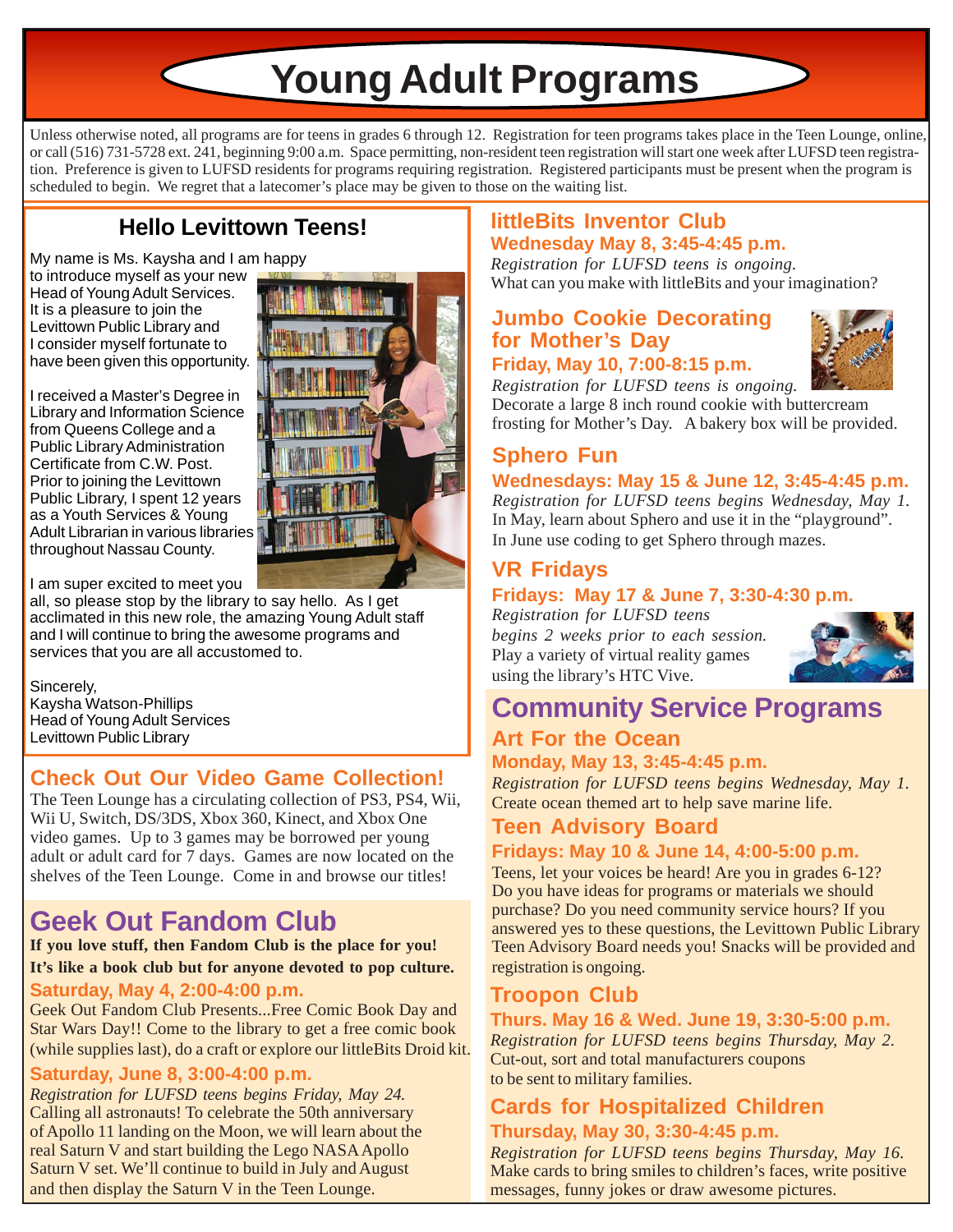**Young Adult Programs**

Unless otherwise noted, all programs are for teens in grades 6 through 12. Registration for teen programs takes place in the Teen Lounge, online, or call (516) 731-5728 ext. 241, beginning 9:00 a.m. Space permitting, non-resident teen registration will start one week after LUFSD teen registration. Preference is given to LUFSD residents for programs requiring registration. Registered participants must be present when the program is scheduled to begin. We regret that a latecomer's place may be given to those on the waiting list.

# **Hello Levittown Teens!**

My name is Ms. Kaysha and I am happy to introduce myself as your new Head of Young Adult Services. It is a pleasure to join the Levittown Public Library and I consider myself fortunate to have been given this opportunity.

I received a Master's Degree in Library and Information Science from Queens College and a Public Library Administration Certificate from C.W. Post. Prior to joining the Levittown Public Library, I spent 12 years as a Youth Services & Young Adult Librarian in various libraries throughout Nassau County.



I am super excited to meet you

all, so please stop by the library to say hello. As I get acclimated in this new role, the amazing Young Adult staff and I will continue to bring the awesome programs and services that you are all accustomed to.

Sincerely, Kaysha Watson-Phillips Head of Young Adult Services Levittown Public Library

# **Check Out Our Video Game Collection!**

The Teen Lounge has a circulating collection of PS3, PS4, Wii, Wii U, Switch, DS/3DS, Xbox 360, Kinect, and Xbox One video games. Up to 3 games may be borrowed per young adult or adult card for 7 days. Games are now located on the shelves of the Teen Lounge. Come in and browse our titles!

# **Geek Out Fandom Club**

**Saturday, May 4, 2:00-4:00 p.m. If you love stuff, then Fandom Club is the place for you! It's like a book club but for anyone devoted to pop culture.**

Geek Out Fandom Club Presents...Free Comic Book Day and Star Wars Day!! Come to the library to get a free comic book (while supplies last), do a craft or explore our littleBits Droid kit.

### **Saturday, June 8, 3:00-4:00 p.m.**

*Registration for LUFSD teens begins Friday, May 24.* Calling all astronauts! To celebrate the 50th anniversary of Apollo 11 landing on the Moon, we will learn about the real Saturn V and start building the Lego NASA Apollo Saturn V set. We'll continue to build in July and August and then display the Saturn V in the Teen Lounge.

## **littleBits Inventor Club Wednesday May 8, 3:45-4:45 p.m.**

*Registration for LUFSD teens is ongoing.* What can you make with littleBits and your imagination?

### **Jumbo Cookie Decorating for Mother's Day Friday, May 10, 7:00-8:15 p.m.**



*Registration for LUFSD teens is ongoing.* Decorate a large 8 inch round cookie with buttercream

frosting for Mother's Day. A bakery box will be provided.

# **Sphero Fun**

**Wednesdays: May 15 & June 12, 3:45-4:45 p.m.** *Registration for LUFSD teens begins Wednesday, May 1.* In May, learn about Sphero and use it in the "playground". In June use coding to get Sphero through mazes.

# **VR Fridays**

### **Fridays: May 17 & June 7, 3:30-4:30 p.m.**

*Registration for LUFSD teens begins 2 weeks prior to each session.* Play a variety of virtual reality games using the library's HTC Vive.



# **Community Service Programs**

# **Art For the Ocean**

**Monday, May 13, 3:45-4:45 p.m.**

*Registration for LUFSD teens begins Wednesday, May 1.* Create ocean themed art to help save marine life.

## **Teen Advisory Board**

## **Fridays: May 10 & June 14, 4:00-5:00 p.m.**

Teens, let your voices be heard! Are you in grades 6-12? Do you have ideas for programs or materials we should purchase? Do you need community service hours? If you answered yes to these questions, the Levittown Public Library Teen Advisory Board needs you! Snacks will be provided and registration is ongoing.

# **Troopon Club**

**Thurs. May 16 & Wed. June 19, 3:30-5:00 p.m.** *Registration for LUFSD teens begins Thursday, May 2.* Cut-out, sort and total manufacturers coupons to be sent to military families.

# **Cards for Hospitalized Children Thursday, May 30, 3:30-4:45 p.m.**

*Registration for LUFSD teens begins Thursday, May 16.* Make cards to bring smiles to children's faces, write positive messages, funny jokes or draw awesome pictures.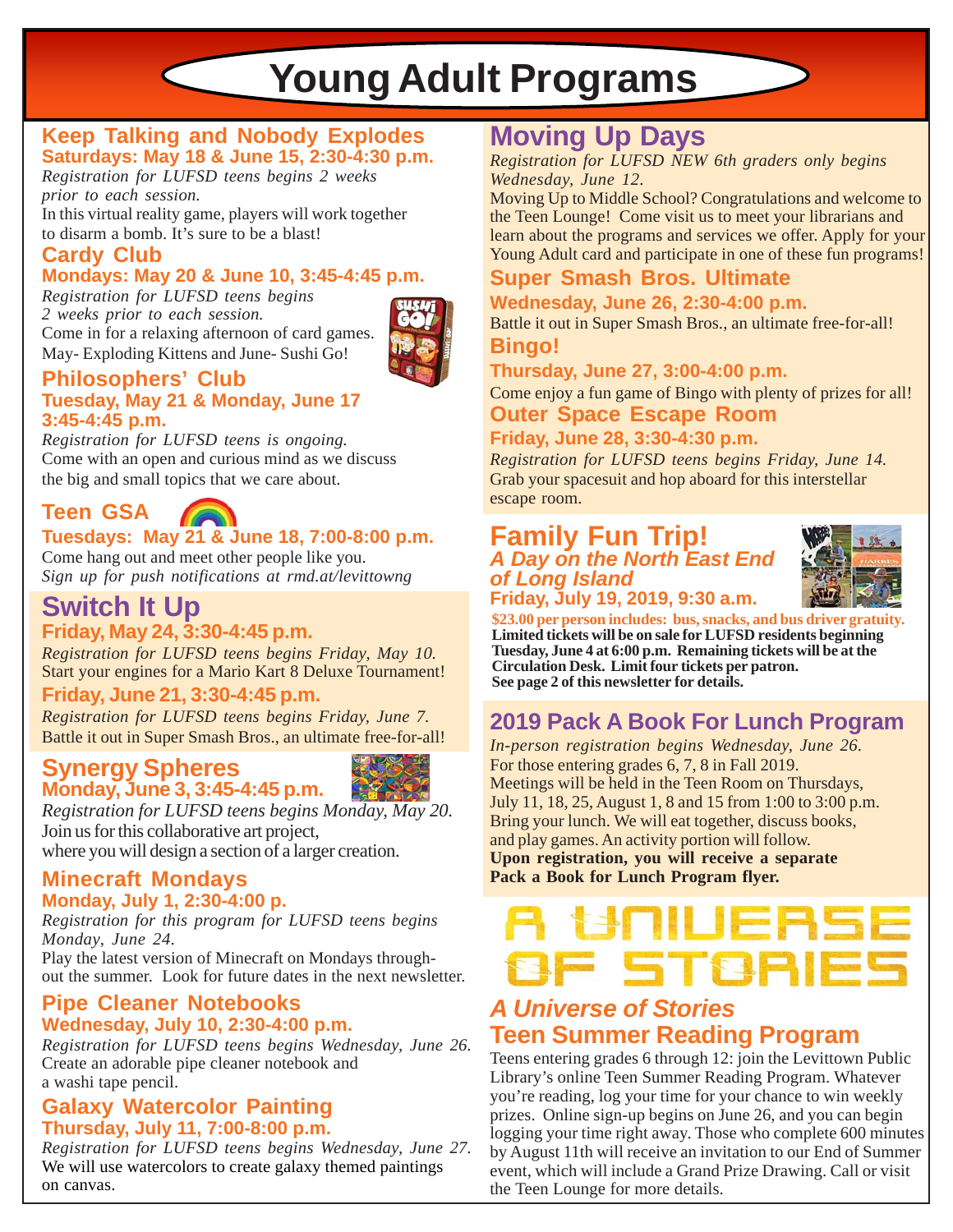# **Young Adult Programs**

### **Keep Talking and Nobody Explodes Saturdays: May 18 & June 15, 2:30-4:30 p.m.**

*Registration for LUFSD teens begins 2 weeks prior to each session.* In this virtual reality game, players will work together

to disarm a bomb. It's sure to be a blast!

# **Cardy Club**

# **Mondays: May 20 & June 10, 3:45-4:45 p.m.**

*Registration for LUFSD teens begins 2 weeks prior to each session.* Come in for a relaxing afternoon of card games. May- Exploding Kittens and June- Sushi Go!



#### **Philosophers' Club Tuesday, May 21 & Monday, June 17 3:45-4:45 p.m.**

*Registration for LUFSD teens is ongoing.* Come with an open and curious mind as we discuss the big and small topics that we care about.

# **Teen GSA**

# **Tuesdays: May 21 & June 18, 7:00-8:00 p.m.**

Come hang out and meet other people like you. *Sign up for push notifications at rmd.at/levittowng*

# **Switch It Up**

# **Friday, May 24, 3:30-4:45 p.m.**

*Registration for LUFSD teens begins Friday, May 10.* Start your engines for a Mario Kart 8 Deluxe Tournament!

### **Friday, June 21, 3:30-4:45 p.m.**

*Registration for LUFSD teens begins Friday, June 7.* Battle it out in Super Smash Bros., an ultimate free-for-all!

### **Synergy Spheres Monday, June 3, 3:45-4:45 p.m.**



*Registration for LUFSD teens begins Monday, May 20.* Join us for this collaborative art project, where you will design a section of a larger creation.

### **Minecraft Mondays Monday, July 1, 2:30-4:00 p.**

*Registration for this program for LUFSD teens begins Monday, June 24.*

Play the latest version of Minecraft on Mondays throughout the summer. Look for future dates in the next newsletter.

### **Pipe Cleaner Notebooks Wednesday, July 10, 2:30-4:00 p.m.**

*Registration for LUFSD teens begins Wednesday, June 26.* Create an adorable pipe cleaner notebook and a washi tape pencil.

### **Galaxy Watercolor Painting Thursday, July 11, 7:00-8:00 p.m.**

*Registration for LUFSD teens begins Wednesday, June 27.* We will use watercolors to create galaxy themed paintings on canvas.

# **Moving Up Days**

*Registration for LUFSD NEW 6th graders only begins Wednesday, June 12.*

Moving Up to Middle School? Congratulations and welcome to the Teen Lounge! Come visit us to meet your librarians and learn about the programs and services we offer. Apply for your Young Adult card and participate in one of these fun programs!

# **Super Smash Bros. Ultimate**

**Wednesday, June 26, 2:30-4:00 p.m.** Battle it out in Super Smash Bros., an ultimate free-for-all!

**Bingo!**

**Thursday, June 27, 3:00-4:00 p.m.**

Come enjoy a fun game of Bingo with plenty of prizes for all! **Outer Space Escape Room**

### **Friday, June 28, 3:30-4:30 p.m.**

*Registration for LUFSD teens begins Friday, June 14.* Grab your spacesuit and hop aboard for this interstellar escape room.

### **Family Fun Trip!** *A Day on the North East End of Long Island*



**Friday, July 19, 2019, 9:30 a.m.**

**\$23.00 per person includes: bus, snacks, and bus driver gratuity. Limited tickets will be on sale for LUFSD residents beginning Tuesday, June 4 at 6:00 p.m. Remaining tickets will be at the Circulation Desk. Limit four tickets per patron. See page 2 of this newsletter for details.**

# **2019 Pack A Book For Lunch Program**

*In-person registration begins Wednesday, June 26.* For those entering grades 6, 7, 8 in Fall 2019. Meetings will be held in the Teen Room on Thursdays, July 11, 18, 25, August 1, 8 and 15 from 1:00 to 3:00 p.m. Bring your lunch. We will eat together, discuss books, and play games. An activity portion will follow. **Upon registration, you will receive a separate Pack a Book for Lunch Program flyer.**

# NILIER **STORIE**

# *A Universe of Stories* **Teen Summer Reading Program**

Teens entering grades 6 through 12: join the Levittown Public Library's online Teen Summer Reading Program. Whatever you're reading, log your time for your chance to win weekly prizes. Online sign-up begins on June 26, and you can begin logging your time right away. Those who complete 600 minutes by August 11th will receive an invitation to our End of Summer event, which will include a Grand Prize Drawing. Call or visit the Teen Lounge for more details.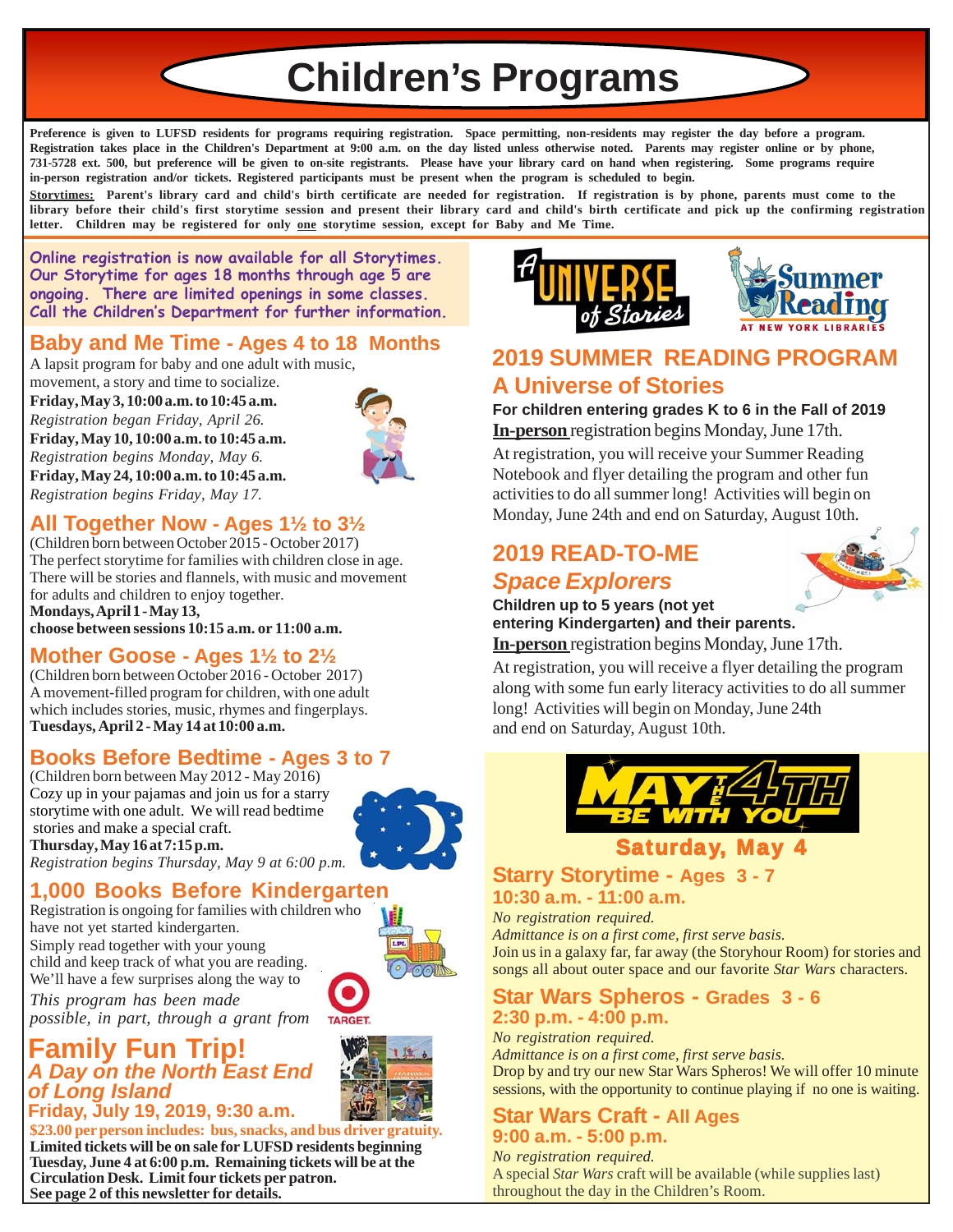**Children's Programs**

**Preference is given to LUFSD residents for programs requiring registration. Space permitting, non-residents may register the day before a program. Registration takes place in the Children's Department at 9:00 a.m. on the day listed unless otherwise noted. Parents may register online or by phone, 731-5728 ext. 500, but preference will be given to on-site registrants. Please have your library card on hand when registering. Some programs require in-person registration and/or tickets. Registered participants must be present when the program is scheduled to begin.**

**Storytimes: Parent's library card and child's birth certificate are needed for registration. If registration is by phone, parents must come to the library before their child's first storytime session and present their library card and child's birth certificate and pick up the confirming registration letter. Children may be registered for only one storytime session, except for Baby and Me Time.**

**Online registration is now available for all Storytimes. Our Storytime for ages 18 months through age 5 are ongoing. There are limited openings in some classes. Call the Children's Department for further information.**

### **Baby and Me Time - Ages 4 to 18 Months**

A lapsit program for baby and one adult with music,

**Friday, May 3, 10:00 a.m. to 10:45 a.m.** *Registration began Friday, April 26.* **Friday, May 10, 10:00 a.m. to 10:45 a.m.** *Registration begins Monday, May 6.* **Friday, May 24, 10:00 a.m. to 10:45 a.m.** *Registration begins Friday, May 17.* movement, a story and time to socialize.



# **All Together Now - Ages 1½ to 3½**

(Children born between October 2015 - October 2017) The perfect storytime for families with children close in age. There will be stories and flannels, with music and movement for adults and children to enjoy together. **Mondays, April 1 - May 13, choose between sessions 10:15 a.m. or 11:00 a.m.**

### **Mother Goose - Ages 1½ to 2½**

(Children born between October 2016 - October 2017) A movement-filled program for children, with one adult which includes stories, music, rhymes and fingerplays. **Tuesdays, April 2 - May 14 at 10:00 a.m.**

# **Books Before Bedtime - Ages 3 to 7**

(Children born between May 2012 - May 2016) Cozy up in your pajamas and join us for a starry storytime with one adult. We will read bedtime stories and make a special craft. **Thursday, May 16 at 7:15 p.m.** *Registration begins Thursday, May 9 at 6:00 p.m.*



**1,000 Books Before Kindergarten**

Simply read together with your young child and keep track of what you are reading. We'll have a few surprises along the way to Registration is ongoing for families with children who have not yet started kindergarten.



*This program has been made possible, in part, through a grant from*

# **Family Fun Trip!** *A Day on the North East End of Long Island*



**Friday, July 19, 2019, 9:30 a.m. \$23.00 per person includes: bus, snacks, and bus driver gratuity.**

**Limited tickets will be on sale for LUFSD residents beginning Tuesday, June 4 at 6:00 p.m. Remaining tickets will be at the Circulation Desk. Limit four tickets per patron. See page 2 of this newsletter for details.**





# **2019 SUMMER READING PROGRAM A Universe of Stories**

**For children entering grades K to 6 in the Fall of 2019 In-person** registration begins Monday, June 17th.

At registration, you will receive your Summer Reading Notebook and flyer detailing the program and other fun activities to do all summer long! Activities will begin on Monday, June 24th and end on Saturday, August 10th.

# **2019 READ-TO-ME** *Space Explorers*



**Children up to 5 years (not yet entering Kindergarten) and their parents.**

**In-person** registration begins Monday, June 17th.

At registration, you will receive a flyer detailing the program along with some fun early literacy activities to do all summer long! Activities will begin on Monday, June 24th and end on Saturday, August 10th.



### Saturday, May **Starry Storytime - Ages 3 - 7 10:30 a.m. - 11:00 a.m.**

*No registration required.*

*Admittance is on a first come, first serve basis.* Join us in a galaxy far, far away (the Storyhour Room) for stories and songs all about outer space and our favorite *Star Wars* characters.

### **Star Wars Spheros - Grades 3 - 6 2:30 p.m. - 4:00 p.m.**

*No registration required. Admittance is on a first come, first serve basis.* Drop by and try our new Star Wars Spheros! We will offer 10 minute sessions, with the opportunity to continue playing if no one is waiting.

### **Star Wars Craft - All Ages 9:00 a.m. - 5:00 p.m.**

*No registration required.* A special *Star Wars* craft will be available (while supplies last) throughout the day in the Children's Room.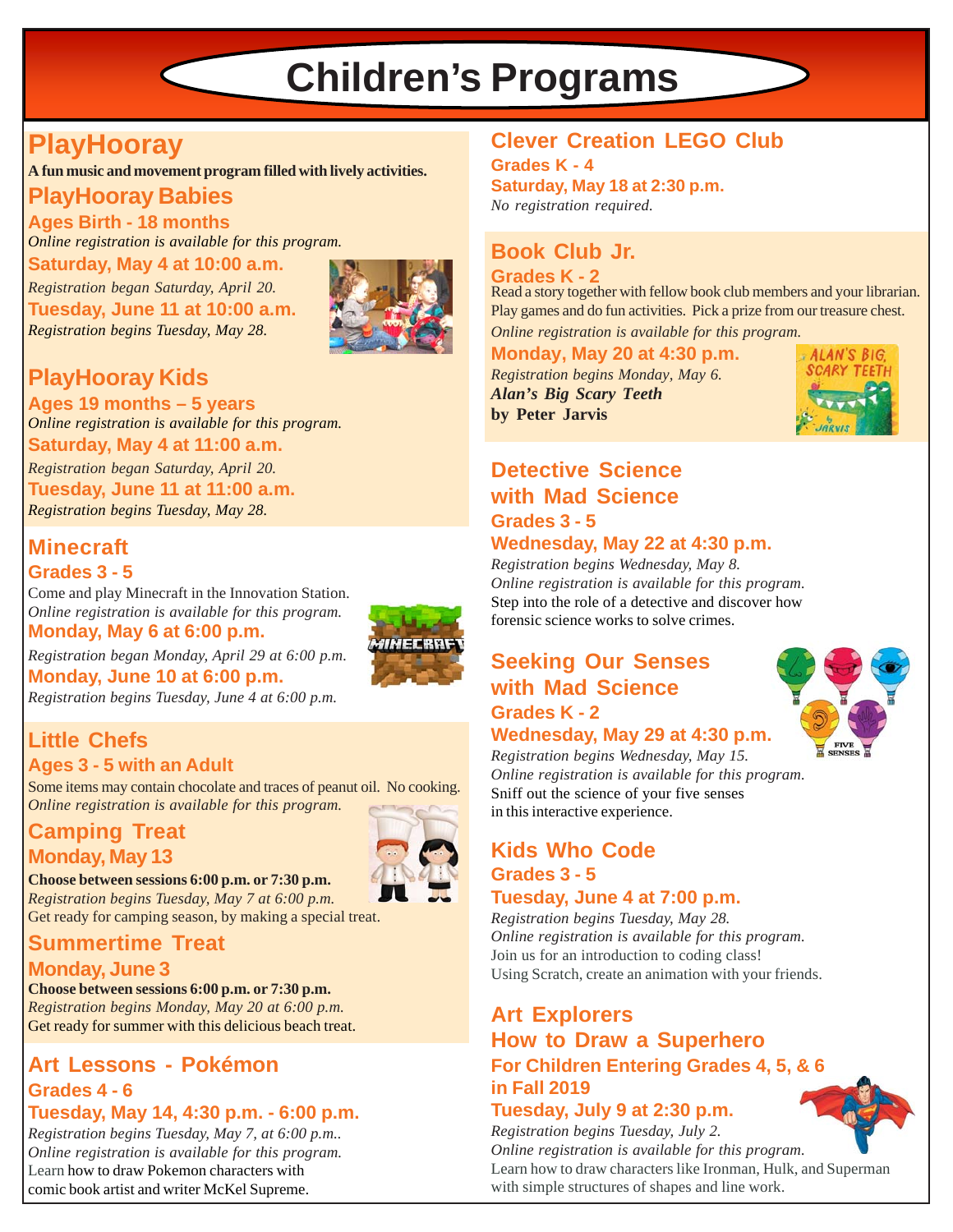# **Children's Programs**

# **PlayHooray**

**A fun music and movement program filled with lively activities.**

### **PlayHooray Babies Ages Birth - 18 months**

*Online registration is available for this program.*

### **Saturday, May 4 at 10:00 a.m.**

*Registration began Saturday, April 20.* **Tuesday, June 11 at 10:00 a.m.** *Registration begins Tuesday, May 28.*



# **PlayHooray Kids**

**Ages 19 months – 5 years Saturday, May 4 at 11:00 a.m.** *Online registration is available for this program.*

### *Registration began Saturday, April 20.*

**Tuesday, June 11 at 11:00 a.m.** *Registration begins Tuesday, May 28.*

### **Minecraft Grades 3 - 5**

Come and play Minecraft in the Innovation Station. **Monday, May 6 at 6:00 p.m.** *Online registration is available for this program.*

*Registration began Monday, April 29 at 6:00 p.m.*



**Monday, June 10 at 6:00 p.m.** *Registration begins Tuesday, June 4 at 6:00 p.m.*

# **Little Chefs**

# **Ages 3 - 5 with an Adult**

Some items may contain chocolate and traces of peanut oil. No cooking. *Online registration is available for this program.*

### **Camping Treat Monday, May 13**



#### **Choose between sessions 6:00 p.m. or 7:30 p.m.** *Registration begins Tuesday, May 7 at 6:00 p.m.*

Get ready for camping season, by making a special treat.

### **Summertime Treat Monday, June 3**

# **Choose between sessions 6:00 p.m. or 7:30 p.m.**

*Registration begins Monday, May 20 at 6:00 p.m.* Get ready for summer with this delicious beach treat.

# **Art Lessons - Pokémon Grades 4 - 6**

## **Tuesday, May 14, 4:30 p.m. - 6:00 p.m.**

*Registration begins Tuesday, May 7, at 6:00 p.m.. Online registration is available for this program.* Learn how to draw Pokemon characters with comic book artist and writer McKel Supreme.

# **Clever Creation LEGO Club**

**Grades K - 4 Saturday, May 18 at 2:30 p.m.** *No registration required.*

# **Book Club Jr.**

### **Grades K - 2**

*Online registration is available for this program.* Read a story together with fellow book club members and your librarian. Play games and do fun activities. Pick a prize from our treasure chest.

**Monday, May 20 at 4:30 p.m.**

*Registration begins Monday, May 6. Alan's Big Scary Teeth* **by Peter Jarvis**



# **Detective Science with Mad Science Grades 3 - 5**

### **Wednesday, May 22 at 4:30 p.m.**

*Registration begins Wednesday, May 8. Online registration is available for this program.* Step into the role of a detective and discover how forensic science works to solve crimes.

# **Seeking Our Senses with Mad Science Grades K - 2**



# **Wednesday, May 29 at 4:30 p.m.**

*Registration begins Wednesday, May 15. Online registration is available for this program.* Sniff out the science of your five senses in this interactive experience.

### **Kids Who Code Grades 3 - 5 Tuesday, June 4 at 7:00 p.m.**

*Registration begins Tuesday, May 28. Online registration is available for this program.* Join us for an introduction to coding class! Using Scratch, create an animation with your friends.

### **Art Explorers How to Draw a Superhero For Children Entering Grades 4, 5, & 6 in Fall 2019 Tuesday, July 9 at 2:30 p.m.**

*Registration begins Tuesday, July 2.*

*Online registration is available for this program.* Learn how to draw characters like Ironman, Hulk, and Superman with simple structures of shapes and line work.